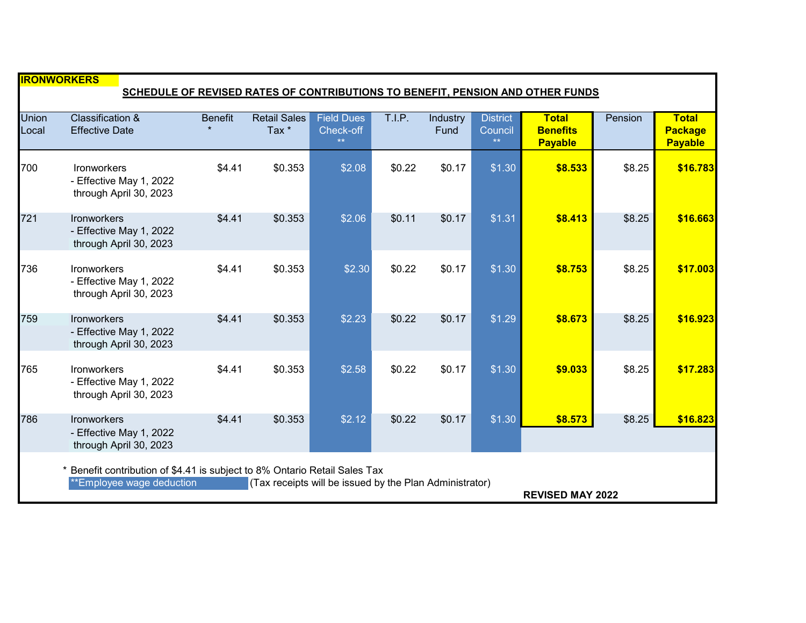| <b>IRONWORKERS</b><br>SCHEDULE OF REVISED RATES OF CONTRIBUTIONS TO BENEFIT, PENSION AND OTHER FUNDS                                                                                        |                                                                         |                |                                         |                                        |        |                  |                                    |                                                   |         |                                                  |  |
|---------------------------------------------------------------------------------------------------------------------------------------------------------------------------------------------|-------------------------------------------------------------------------|----------------|-----------------------------------------|----------------------------------------|--------|------------------|------------------------------------|---------------------------------------------------|---------|--------------------------------------------------|--|
| <b>Union</b><br>Local                                                                                                                                                                       | <b>Classification &amp;</b><br><b>Effective Date</b>                    | <b>Benefit</b> | <b>Retail Sales</b><br>Tax <sup>*</sup> | <b>Field Dues</b><br>Check-off<br>$**$ | T.I.P. | Industry<br>Fund | <b>District</b><br>Council<br>$**$ | <b>Total</b><br><b>Benefits</b><br><b>Payable</b> | Pension | <b>Total</b><br><b>Package</b><br><b>Payable</b> |  |
| 700                                                                                                                                                                                         | Ironworkers<br>- Effective May 1, 2022<br>through April 30, 2023        | \$4.41         | \$0.353                                 | \$2.08                                 | \$0.22 | \$0.17           | \$1.30                             | \$8.533                                           | \$8.25  | \$16.783                                         |  |
| 721                                                                                                                                                                                         | Ironworkers<br>- Effective May 1, 2022<br>through April 30, 2023        | \$4.41         | \$0.353                                 | \$2.06                                 | \$0.11 | \$0.17           | \$1.31                             | \$8.413                                           | \$8.25  | \$16.663                                         |  |
| 736                                                                                                                                                                                         | <b>Ironworkers</b><br>- Effective May 1, 2022<br>through April 30, 2023 | \$4.41         | \$0.353                                 | \$2.30                                 | \$0.22 | \$0.17           | \$1.30                             | \$8.753                                           | \$8.25  | \$17.003                                         |  |
| 759                                                                                                                                                                                         | <b>Ironworkers</b><br>- Effective May 1, 2022<br>through April 30, 2023 | \$4.41         | \$0.353                                 | \$2.23                                 | \$0.22 | \$0.17           | \$1.29                             | \$8.673                                           | \$8.25  | \$16.923                                         |  |
| 765                                                                                                                                                                                         | <b>Ironworkers</b><br>- Effective May 1, 2022<br>through April 30, 2023 | \$4.41         | \$0.353                                 | \$2.58                                 | \$0.22 | \$0.17           | \$1.30                             | \$9.033                                           | \$8.25  | \$17.283                                         |  |
| 786                                                                                                                                                                                         | <b>Ironworkers</b><br>- Effective May 1, 2022<br>through April 30, 2023 | \$4.41         | \$0.353                                 | \$2.12                                 | \$0.22 | \$0.17           | \$1.30                             | \$8.573                                           | \$8.25  | \$16.823                                         |  |
| Benefit contribution of \$4.41 is subject to 8% Ontario Retail Sales Tax<br>**Employee wage deduction<br>(Tax receipts will be issued by the Plan Administrator)<br><b>REVISED MAY 2022</b> |                                                                         |                |                                         |                                        |        |                  |                                    |                                                   |         |                                                  |  |